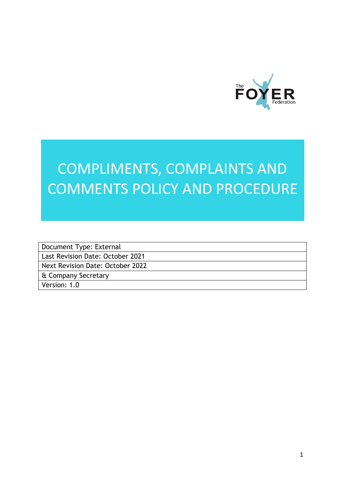

# COMPLIMENTS, COMPLAINTS AND COMMENTS POLICY AND PROCEDURE

Document Type: External Last Revision Date: October 2021 Next Revision Date: October 2022 & Company Secretary

Version: 1.0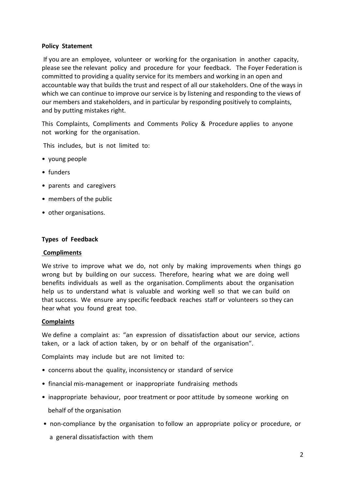## **Policy Statement**

If you are an employee, volunteer or working for the organisation in another capacity, please see the relevant policy and procedure for your feedback. The Foyer Federation is committed to providing a quality service for its members and working in an open and accountable way that builds the trust and respect of all our stakeholders. One of the ways in which we can continue to improve our service is by listening and responding to the views of our members and stakeholders, and in particular by responding positively to complaints, and by putting mistakes right.

This Complaints, Compliments and Comments Policy & Procedure applies to anyone not working for the organisation.

This includes, but is not limited to:

- young people
- funders
- parents and caregivers
- members of the public
- other organisations.

#### **Types of Feedback**

#### **Compliments**

We strive to improve what we do, not only by making improvements when things go wrong but by building on our success. Therefore, hearing what we are doing well benefits individuals as well as the organisation. Compliments about the organisation help us to understand what is valuable and working well so that we can build on that success. We ensure any specific feedback reaches staff or volunteers so they can hear what you found great too.

### **Complaints**

We define a complaint as: "an expression of dissatisfaction about our service, actions taken, or a lack of action taken, by or on behalf of the organisation".

Complaints may include but are not limited to:

- concerns about the quality, inconsistency or standard of service
- financial mis-management or inappropriate fundraising methods
- inappropriate behaviour, poor treatment or poor attitude by someone working on behalf of the organisation
- non-compliance by the organisation to follow an appropriate policy or procedure, or
	- a general dissatisfaction with them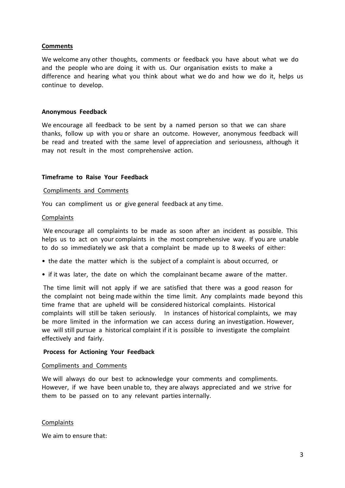### **Comments**

We welcome any other thoughts, comments or feedback you have about what we do and the people who are doing it with us. Our organisation exists to make a difference and hearing what you think about what we do and how we do it, helps us continue to develop.

#### **Anonymous Feedback**

We encourage all feedback to be sent by a named person so that we can share thanks, follow up with you or share an outcome. However, anonymous feedback will be read and treated with the same level of appreciation and seriousness, although it may not result in the most comprehensive action.

#### **Timeframe to Raise Your Feedback**

#### Compliments and Comments

You can compliment us or give general feedback at any time.

#### **Complaints**

We encourage all complaints to be made as soon after an incident as possible. This helps us to act on your complaints in the most comprehensive way. If you are unable to do so immediately we ask that a complaint be made up to 8 weeks of either:

- the date the matter which is the subject of a complaint is about occurred, or
- if it was later, the date on which the complainant became aware of the matter.

The time limit will not apply if we are satisfied that there was a good reason for the complaint not being made within the time limit. Any complaints made beyond this time frame that are upheld will be considered historical complaints. Historical complaints will still be taken seriously. In instances of historical complaints, we may be more limited in the information we can access during an investigation. However, we will still pursue a historical complaint if it is possible to investigate the complaint effectively and fairly.

#### **Process for Actioning Your Feedback**

#### Compliments and Comments

We will always do our best to acknowledge your comments and compliments. However, if we have been unable to, they are always appreciated and we strive for them to be passed on to any relevant parties internally.

#### **Complaints**

We aim to ensure that: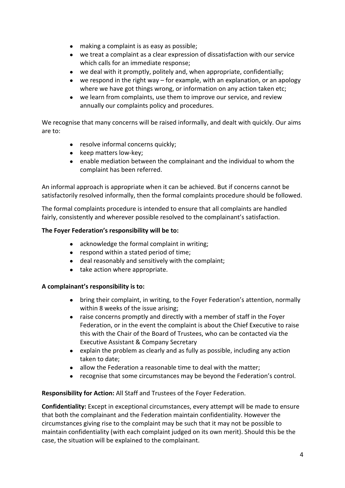- making a complaint is as easy as possible;
- we treat a complaint as a clear expression of dissatisfaction with our service which calls for an immediate response;
- we deal with it promptly, politely and, when appropriate, confidentially;
- $\bullet$  we respond in the right way for example, with an explanation, or an apology where we have got things wrong, or information on any action taken etc;
- we learn from complaints, use them to improve our service, and review annually our complaints policy and procedures.

We recognise that many concerns will be raised informally, and dealt with quickly. Our aims are to:

- resolve informal concerns quickly:
- keep matters low-key;
- enable mediation between the complainant and the individual to whom the complaint has been referred.

An informal approach is appropriate when it can be achieved. But if concerns cannot be satisfactorily resolved informally, then the formal complaints procedure should be followed.

The formal complaints procedure is intended to ensure that all complaints are handled fairly, consistently and wherever possible resolved to the complainant's satisfaction.

# **The Foyer Federation's responsibility will be to:**

- acknowledge the formal complaint in writing;
- respond within a stated period of time;
- deal reasonably and sensitively with the complaint;
- take action where appropriate.

# **A complainant's responsibility is to:**

- bring their complaint, in writing, to the Foyer Federation's attention, normally within 8 weeks of the issue arising;
- raise concerns promptly and directly with a member of staff in the Foyer Federation, or in the event the complaint is about the Chief Executive to raise this with the Chair of the Board of Trustees, who can be contacted via the Executive Assistant & Company Secretary
- explain the problem as clearly and as fully as possible, including any action taken to date;
- allow the Federation a reasonable time to deal with the matter;
- recognise that some circumstances may be beyond the Federation's control.

# **Responsibility for Action:** All Staff and Trustees of the Foyer Federation.

**Confidentiality:** Except in exceptional circumstances, every attempt will be made to ensure that both the complainant and the Federation maintain confidentiality. However the circumstances giving rise to the complaint may be such that it may not be possible to maintain confidentiality (with each complaint judged on its own merit). Should this be the case, the situation will be explained to the complainant.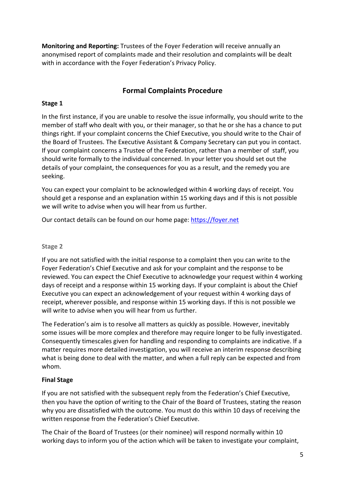**Monitoring and Reporting:** Trustees of the Foyer Federation will receive annually an anonymised report of complaints made and their resolution and complaints will be dealt with in accordance with the Foyer Federation's Privacy Policy.

# **Formal Complaints Procedure**

# **Stage 1**

In the first instance, if you are unable to resolve the issue informally, you should write to the member of staff who dealt with you, or their manager, so that he or she has a chance to put things right. If your complaint concerns the Chief Executive, you should write to the Chair of the Board of Trustees. The Executive Assistant & Company Secretary can put you in contact. If your complaint concerns a Trustee of the Federation, rather than a member of staff, you should write formally to the individual concerned. In your letter you should set out the details of your complaint, the consequences for you as a result, and the remedy you are seeking.

You can expect your complaint to be acknowledged within 4 working days of receipt. You should get a response and an explanation within 15 working days and if this is not possible we will write to advise when you will hear from us further.

Our contact details can be found on our home page: https://foyer.net

# **Stage 2**

If you are not satisfied with the initial response to a complaint then you can write to the Foyer Federation's Chief Executive and ask for your complaint and the response to be reviewed. You can expect the Chief Executive to acknowledge your request within 4 working days of receipt and a response within 15 working days. If your complaint is about the Chief Executive you can expect an acknowledgement of your request within 4 working days of receipt, wherever possible, and response within 15 working days. If this is not possible we will write to advise when you will hear from us further.

The Federation's aim is to resolve all matters as quickly as possible. However, inevitably some issues will be more complex and therefore may require longer to be fully investigated. Consequently timescales given for handling and responding to complaints are indicative. If a matter requires more detailed investigation, you will receive an interim response describing what is being done to deal with the matter, and when a full reply can be expected and from whom.

# **Final Stage**

If you are not satisfied with the subsequent reply from the Federation's Chief Executive, then you have the option of writing to the Chair of the Board of Trustees, stating the reason why you are dissatisfied with the outcome. You must do this within 10 days of receiving the written response from the Federation's Chief Executive.

The Chair of the Board of Trustees (or their nominee) will respond normally within 10 working days to inform you of the action which will be taken to investigate your complaint,